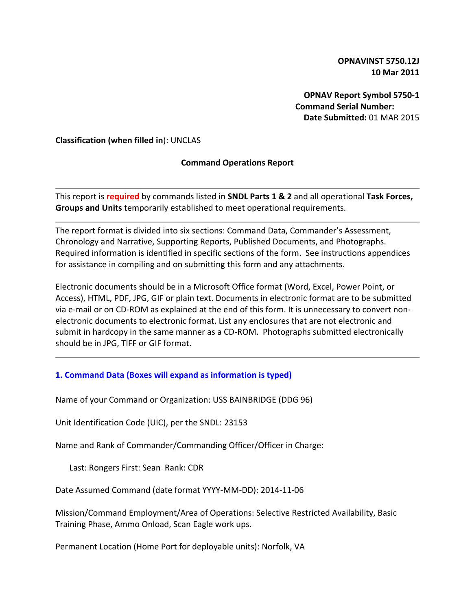**OPNAVINST 5750.12J 10 Mar 2011**

**OPNAV Report Symbol 5750-1 Command Serial Number: Date Submitted:** 01 MAR 2015

**Classification (when filled in**): UNCLAS

### **Command Operations Report**

This report is **required** by commands listed in **SNDL Parts 1 & 2** and all operational **Task Forces, Groups and Units** temporarily established to meet operational requirements.

The report format is divided into six sections: Command Data, Commander's Assessment, Chronology and Narrative, Supporting Reports, Published Documents, and Photographs. Required information is identified in specific sections of the form. See instructions appendices for assistance in compiling and on submitting this form and any attachments.

Electronic documents should be in a Microsoft Office format (Word, Excel, Power Point, or Access), HTML, PDF, JPG, GIF or plain text. Documents in electronic format are to be submitted via e-mail or on CD-ROM as explained at the end of this form. It is unnecessary to convert nonelectronic documents to electronic format. List any enclosures that are not electronic and submit in hardcopy in the same manner as a CD-ROM. Photographs submitted electronically should be in JPG, TIFF or GIF format.

### **1. Command Data (Boxes will expand as information is typed)**

Name of your Command or Organization: USS BAINBRIDGE (DDG 96)

Unit Identification Code (UIC), per the SNDL: 23153

Name and Rank of Commander/Commanding Officer/Officer in Charge:

Last: Rongers First: Sean Rank: CDR

Date Assumed Command (date format YYYY-MM-DD): 2014-11-06

Mission/Command Employment/Area of Operations: Selective Restricted Availability, Basic Training Phase, Ammo Onload, Scan Eagle work ups.

Permanent Location (Home Port for deployable units): Norfolk, VA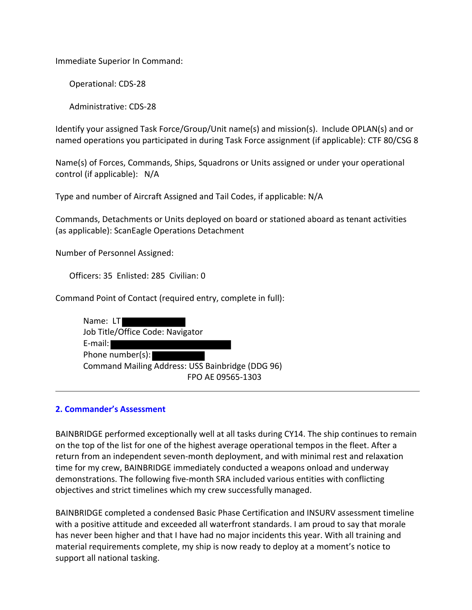Immediate Superior In Command:

Operational: CDS-28

Administrative: CDS-28

Identify your assigned Task Force/Group/Unit name(s) and mission(s). Include OPLAN(s) and or named operations you participated in during Task Force assignment (if applicable): CTF 80/CSG 8

Name(s) of Forces, Commands, Ships, Squadrons or Units assigned or under your operational control (if applicable): N/A

Type and number of Aircraft Assigned and Tail Codes, if applicable: N/A

Commands, Detachments or Units deployed on board or stationed aboard as tenant activities (as applicable): ScanEagle Operations Detachment

Number of Personnel Assigned:

Officers: 35 Enlisted: 285 Civilian: 0

Command Point of Contact (required entry, complete in full):

| Name: LT                                         |
|--------------------------------------------------|
| Job Title/Office Code: Navigator                 |
| $E$ -mail:                                       |
| Phone number(s):                                 |
| Command Mailing Address: USS Bainbridge (DDG 96) |
| FPO AE 09565-1303                                |

### **2. Commander's Assessment**

BAINBRIDGE performed exceptionally well at all tasks during CY14. The ship continues to remain on the top of the list for one of the highest average operational tempos in the fleet. After a return from an independent seven-month deployment, and with minimal rest and relaxation time for my crew, BAINBRIDGE immediately conducted a weapons onload and underway demonstrations. The following five-month SRA included various entities with conflicting objectives and strict timelines which my crew successfully managed.

BAINBRIDGE completed a condensed Basic Phase Certification and INSURV assessment timeline with a positive attitude and exceeded all waterfront standards. I am proud to say that morale has never been higher and that I have had no major incidents this year. With all training and material requirements complete, my ship is now ready to deploy at a moment's notice to support all national tasking.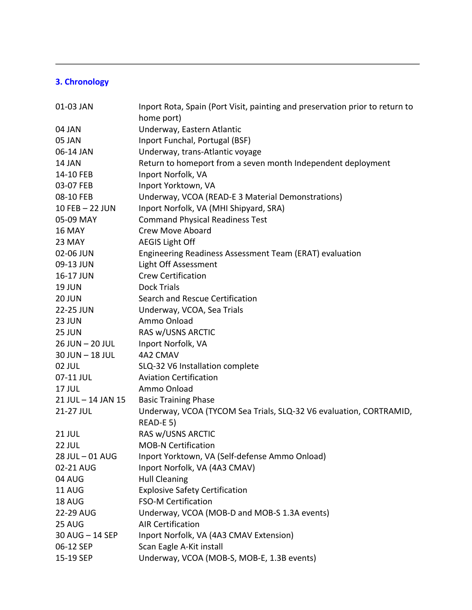# **3. Chronology**

| 01-03 JAN          | Inport Rota, Spain (Port Visit, painting and preservation prior to return to    |
|--------------------|---------------------------------------------------------------------------------|
|                    | home port)                                                                      |
| 04 JAN             | Underway, Eastern Atlantic                                                      |
| 05 JAN             | Inport Funchal, Portugal (BSF)                                                  |
| 06-14 JAN          | Underway, trans-Atlantic voyage                                                 |
| 14 JAN             | Return to homeport from a seven month Independent deployment                    |
| 14-10 FEB          | Inport Norfolk, VA                                                              |
| 03-07 FEB          | Inport Yorktown, VA                                                             |
| 08-10 FEB          | Underway, VCOA (READ-E 3 Material Demonstrations)                               |
| 10 FEB - 22 JUN    | Inport Norfolk, VA (MHI Shipyard, SRA)                                          |
| 05-09 MAY          | <b>Command Physical Readiness Test</b>                                          |
| 16 MAY             | Crew Move Aboard                                                                |
| 23 MAY             | <b>AEGIS Light Off</b>                                                          |
| 02-06 JUN          | Engineering Readiness Assessment Team (ERAT) evaluation                         |
| 09-13 JUN          | Light Off Assessment                                                            |
| 16-17 JUN          | <b>Crew Certification</b>                                                       |
| <b>19 JUN</b>      | <b>Dock Trials</b>                                                              |
| 20 JUN             | Search and Rescue Certification                                                 |
| 22-25 JUN          | Underway, VCOA, Sea Trials                                                      |
| 23 JUN             | Ammo Onload                                                                     |
| 25 JUN             | RAS w/USNS ARCTIC                                                               |
| 26 JUN - 20 JUL    | Inport Norfolk, VA                                                              |
| 30 JUN - 18 JUL    | 4A2 CMAV                                                                        |
| 02 JUL             | SLQ-32 V6 Installation complete                                                 |
| 07-11 JUL          | <b>Aviation Certification</b>                                                   |
| 17 JUL             | Ammo Onload                                                                     |
| 21 JUL - 14 JAN 15 | <b>Basic Training Phase</b>                                                     |
| 21-27 JUL          | Underway, VCOA (TYCOM Sea Trials, SLQ-32 V6 evaluation, CORTRAMID,<br>READ-E 5) |
| <b>21 JUL</b>      | RAS w/USNS ARCTIC                                                               |
| 22 JUL             | <b>MOB-N Certification</b>                                                      |
| 28 JUL - 01 AUG    | Inport Yorktown, VA (Self-defense Ammo Onload)                                  |
| 02-21 AUG          | Inport Norfolk, VA (4A3 CMAV)                                                   |
| 04 AUG             | <b>Hull Cleaning</b>                                                            |
| <b>11 AUG</b>      | <b>Explosive Safety Certification</b>                                           |
| 18 AUG             | <b>FSO-M Certification</b>                                                      |
| 22-29 AUG          | Underway, VCOA (MOB-D and MOB-S 1.3A events)                                    |
| 25 AUG             | <b>AIR Certification</b>                                                        |
| 30 AUG - 14 SEP    | Inport Norfolk, VA (4A3 CMAV Extension)                                         |
| 06-12 SEP          | Scan Eagle A-Kit install                                                        |
| 15-19 SEP          | Underway, VCOA (MOB-S, MOB-E, 1.3B events)                                      |
|                    |                                                                                 |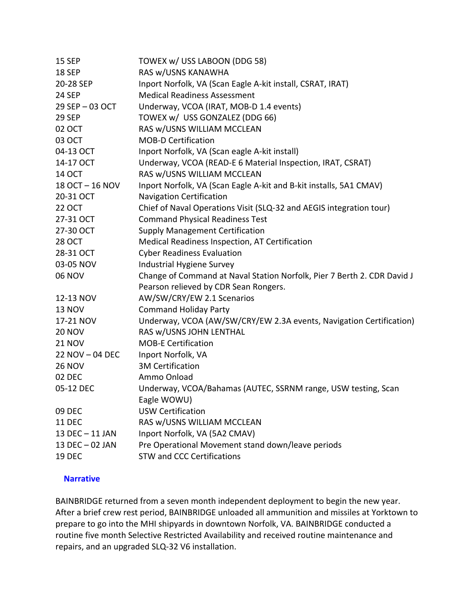| <b>15 SEP</b>   | TOWEX w/ USS LABOON (DDG 58)                                            |
|-----------------|-------------------------------------------------------------------------|
| <b>18 SEP</b>   | RAS w/USNS KANAWHA                                                      |
| 20-28 SEP       | Inport Norfolk, VA (Scan Eagle A-kit install, CSRAT, IRAT)              |
| <b>24 SEP</b>   | <b>Medical Readiness Assessment</b>                                     |
| 29 SEP-03 OCT   | Underway, VCOA (IRAT, MOB-D 1.4 events)                                 |
| <b>29 SEP</b>   | TOWEX w/ USS GONZALEZ (DDG 66)                                          |
| 02 OCT          | RAS w/USNS WILLIAM MCCLEAN                                              |
| 03 OCT          | <b>MOB-D Certification</b>                                              |
| 04-13 OCT       | Inport Norfolk, VA (Scan eagle A-kit install)                           |
| 14-17 OCT       | Underway, VCOA (READ-E 6 Material Inspection, IRAT, CSRAT)              |
| <b>14 OCT</b>   | RAS w/USNS WILLIAM MCCLEAN                                              |
| 18 OCT - 16 NOV | Inport Norfolk, VA (Scan Eagle A-kit and B-kit installs, 5A1 CMAV)      |
| 20-31 OCT       | <b>Navigation Certification</b>                                         |
| <b>22 OCT</b>   | Chief of Naval Operations Visit (SLQ-32 and AEGIS integration tour)     |
| 27-31 OCT       | <b>Command Physical Readiness Test</b>                                  |
| 27-30 OCT       | <b>Supply Management Certification</b>                                  |
| <b>28 OCT</b>   | Medical Readiness Inspection, AT Certification                          |
| 28-31 OCT       | <b>Cyber Readiness Evaluation</b>                                       |
| 03-05 NOV       | Industrial Hygiene Survey                                               |
| <b>06 NOV</b>   | Change of Command at Naval Station Norfolk, Pier 7 Berth 2. CDR David J |
|                 | Pearson relieved by CDR Sean Rongers.                                   |
| 12-13 NOV       | AW/SW/CRY/EW 2.1 Scenarios                                              |
| <b>13 NOV</b>   | <b>Command Holiday Party</b>                                            |
| 17-21 NOV       | Underway, VCOA (AW/SW/CRY/EW 2.3A events, Navigation Certification)     |
| <b>20 NOV</b>   | RAS w/USNS JOHN LENTHAL                                                 |
| <b>21 NOV</b>   | <b>MOB-E Certification</b>                                              |
| 22 NOV - 04 DEC | Inport Norfolk, VA                                                      |
| <b>26 NOV</b>   | <b>3M Certification</b>                                                 |
| 02 DEC          | Ammo Onload                                                             |
| 05-12 DEC       | Underway, VCOA/Bahamas (AUTEC, SSRNM range, USW testing, Scan           |
|                 | Eagle WOWU)                                                             |
| 09 DEC          | <b>USW Certification</b>                                                |
| <b>11 DEC</b>   | RAS w/USNS WILLIAM MCCLEAN                                              |
| 13 DEC - 11 JAN | Inport Norfolk, VA (5A2 CMAV)                                           |
| 13 DEC - 02 JAN | Pre Operational Movement stand down/leave periods                       |
| <b>19 DEC</b>   | <b>STW and CCC Certifications</b>                                       |
|                 |                                                                         |

### **Narrative**

BAINBRIDGE returned from a seven month independent deployment to begin the new year. After a brief crew rest period, BAINBRIDGE unloaded all ammunition and missiles at Yorktown to prepare to go into the MHI shipyards in downtown Norfolk, VA. BAINBRIDGE conducted a routine five month Selective Restricted Availability and received routine maintenance and repairs, and an upgraded SLQ-32 V6 installation.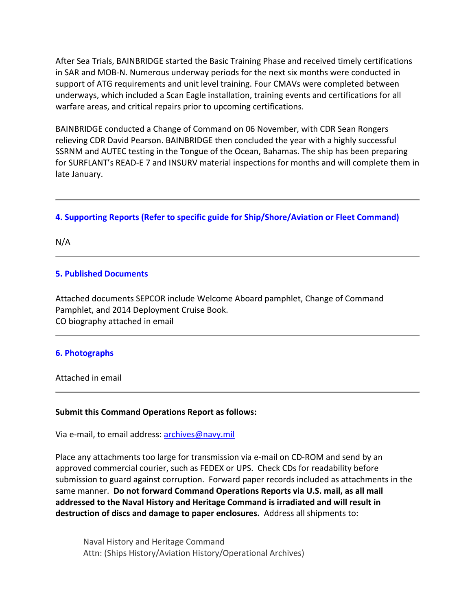After Sea Trials, BAINBRIDGE started the Basic Training Phase and received timely certifications in SAR and MOB-N. Numerous underway periods for the next six months were conducted in support of ATG requirements and unit level training. Four CMAVs were completed between underways, which included a Scan Eagle installation, training events and certifications for all warfare areas, and critical repairs prior to upcoming certifications.

BAINBRIDGE conducted a Change of Command on 06 November, with CDR Sean Rongers relieving CDR David Pearson. BAINBRIDGE then concluded the year with a highly successful SSRNM and AUTEC testing in the Tongue of the Ocean, Bahamas. The ship has been preparing for SURFLANT's READ-E 7 and INSURV material inspections for months and will complete them in late January.

# **4. Supporting Reports (Refer to specific guide for Ship/Shore/Aviation or Fleet Command)**

N/A

# **5. Published Documents**

Attached documents SEPCOR include Welcome Aboard pamphlet, Change of Command Pamphlet, and 2014 Deployment Cruise Book. CO biography attached in email

### **6. Photographs**

Attached in email

### **Submit this Command Operations Report as follows:**

Via e-mail, to email address: archives@navy.mil

Place any attachments too large for transmission via e-mail on CD-ROM and send by an approved commercial courier, such as FEDEX or UPS. Check CDs for readability before submission to guard against corruption. Forward paper records included as attachments in the same manner. **Do not forward Command Operations Reports via U.S. mail, as all mail addressed to the Naval History and Heritage Command is irradiated and will result in destruction of discs and damage to paper enclosures.** Address all shipments to:

Naval History and Heritage Command Attn: (Ships History/Aviation History/Operational Archives)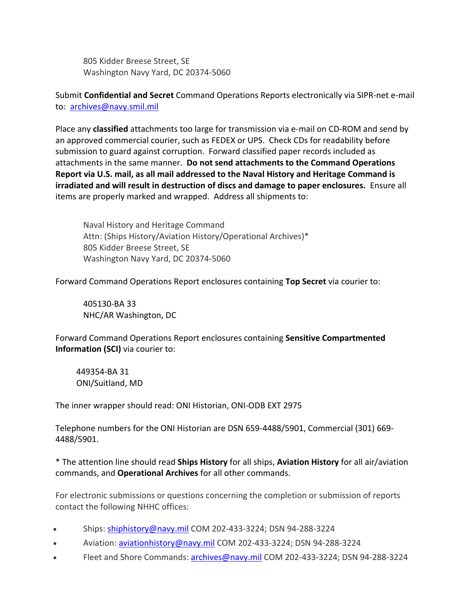805 Kidder Breese Street, SE Washington Navy Yard, DC 20374-5060

Submit **Confidential and Secret** Command Operations Reports electronically via SIPR-net e-mail to: archives@navy.smil.mil

Place any **classified** attachments too large for transmission via e-mail on CD-ROM and send by an approved commercial courier, such as FEDEX or UPS. Check CDs for readability before submission to guard against corruption. Forward classified paper records included as attachments in the same manner. **Do not send attachments to the Command Operations Report via U.S. mail, as all mail addressed to the Naval History and Heritage Command is irradiated and will result in destruction of discs and damage to paper enclosures.** Ensure all items are properly marked and wrapped. Address all shipments to:

Naval History and Heritage Command Attn: (Ships History/Aviation History/Operational Archives)\* 805 Kidder Breese Street, SE Washington Navy Yard, DC 20374-5060

Forward Command Operations Report enclosures containing **Top Secret** via courier to:

405130-BA 33 NHC/AR Washington, DC

Forward Command Operations Report enclosures containing **Sensitive Compartmented Information (SCI)** via courier to:

449354-BA 31 ONI/Suitland, MD

The inner wrapper should read: ONI Historian, ONI-ODB EXT 2975

Telephone numbers for the ONI Historian are DSN 659-4488/5901, Commercial (301) 669- 4488/5901.

\* The attention line should read **Ships History** for all ships, **Aviation History** for all air/aviation commands, and **Operational Archives** for all other commands.

For electronic submissions or questions concerning the completion or submission of reports contact the following NHHC offices:

- Ships: shiphistory@navy.mil COM 202-433-3224; DSN 94-288-3224
- Aviation: aviationhistory@navy.mil COM 202-433-3224; DSN 94-288-3224
- Fleet and Shore Commands: archives@navy.mil COM 202-433-3224; DSN 94-288-3224